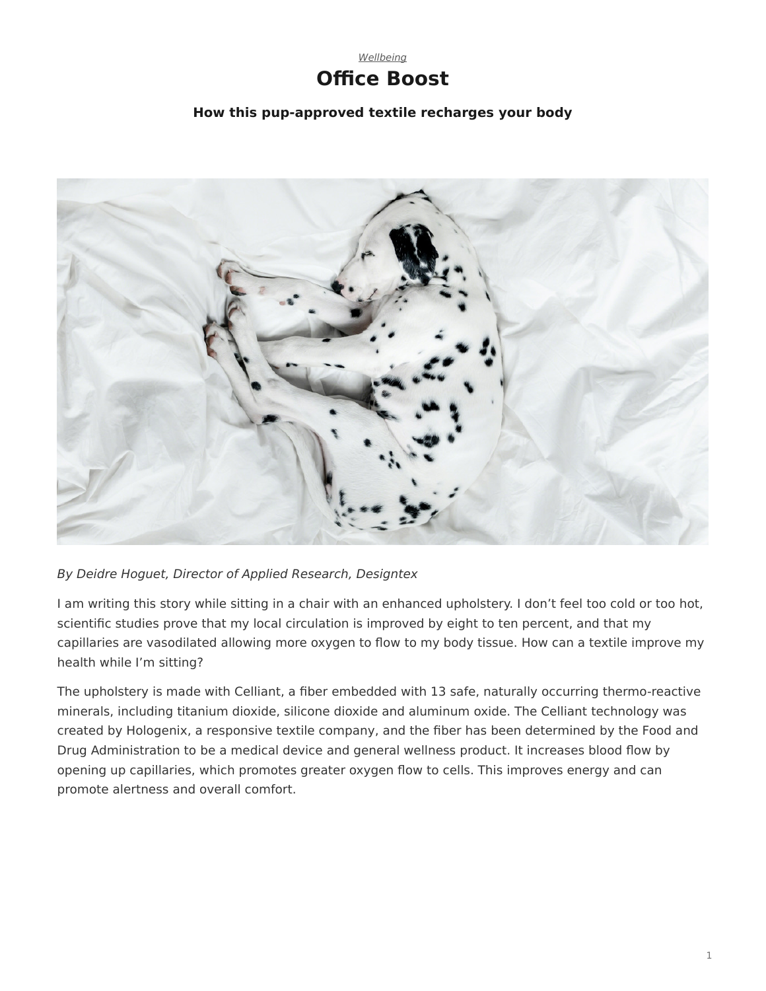

## **How this pup-approved textile recharges your body**

<span id="page-0-0"></span>

## *By Deidre Hoguet, Director of Applied Research, Designtex*

I am writing this story while sitting in a chair with an enhanced upholstery. I don't feel too cold or too hot, scientific studies prove that my local circulation is improved by eight to ten percent, and that my capillaries are vasodilated allowing more oxygen to flow to my body tissue. How can a textile improve my health while I'm sitting?

The upholstery is made with Celliant, a fiber embedded with 13 safe, naturally occurring thermo-reactive minerals, including titanium dioxide, silicone dioxide and aluminum oxide. The Celliant technology was created by Hologenix, a responsive textile company, and the fiber has been determined by the Food and Drug Administration to be a medical device and general wellness product. It increases blood flow by opening up capillaries, which promotes greater oxygen flow to cells. This improves energy and can promote alertness and overall comfort.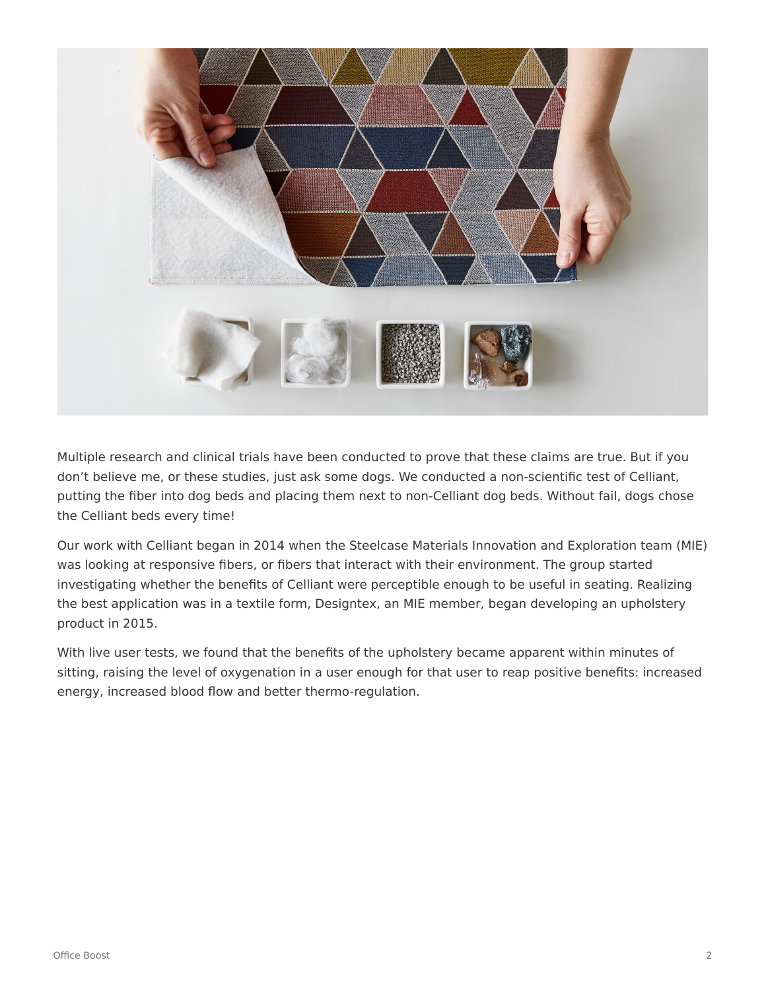

Multiple research and clinical trials have been conducted to prove that these claims are true. But if you don't believe me, or these studies, just ask some dogs. We conducted a non-scientific test of Celliant, putting the fiber into dog beds and placing them next to non-Celliant dog beds. Without fail, dogs chose the Celliant beds every time!

Our work with Celliant began in 2014 when the Steelcase Materials Innovation and Exploration team (MIE) was looking at responsive fibers, or fibers that interact with their environment. The group started investigating whether the benefits of Celliant were perceptible enough to be useful in seating. Realizing the best application was in a textile form, Designtex, an MIE member, began developing an upholstery product in 2015.

With live user tests, we found that the benefits of the upholstery became apparent within minutes of sitting, raising the level of oxygenation in a user enough for that user to reap positive benefits: increased energy, increased blood flow and better thermo-regulation.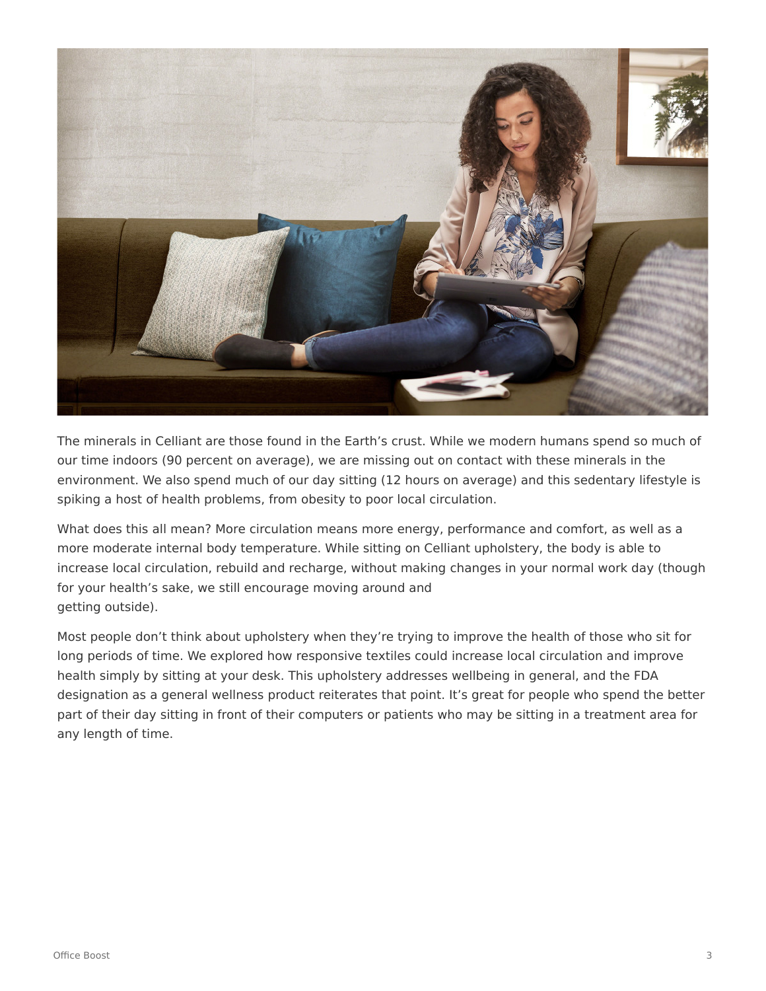

The minerals in Celliant are those found in the Earth's crust. While we modern humans spend so much of our time indoors (90 percent on average), we are missing out on contact with these minerals in the environment. We also spend much of our day sitting (12 hours on average) and this sedentary lifestyle is spiking a host of health problems, from obesity to poor local circulation.

What does this all mean? More circulation means more energy, performance and comfort, as well as a more moderate internal body temperature. While sitting on Celliant upholstery, the body is able to increase local circulation, rebuild and recharge, without making changes in your normal work day (though for your health's sake, we still encourage moving around and getting outside).

Most people don't think about upholstery when they're trying to improve the health of those who sit for long periods of time. We explored how responsive textiles could increase local circulation and improve health simply by sitting at your desk. This upholstery addresses wellbeing in general, and the FDA designation as a general wellness product reiterates that point. It's great for people who spend the better part of their day sitting in front of their computers or patients who may be sitting in a treatment area for any length of time.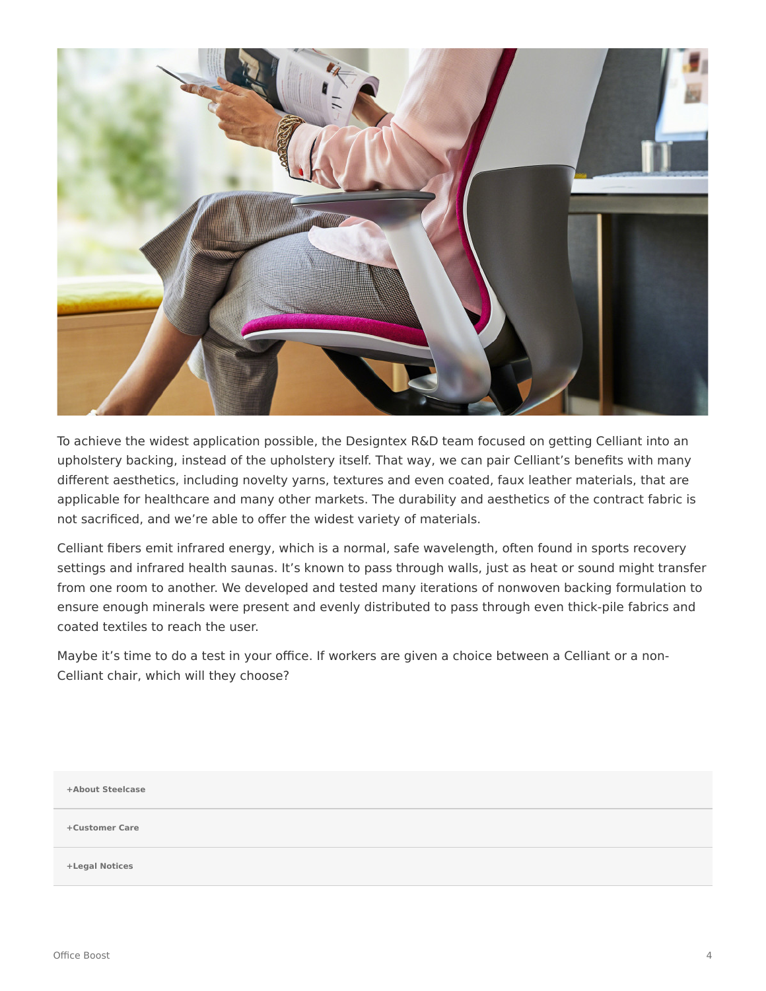

To achieve the widest application possible, the Designtex R&D team focused on getting Celliant into an upholstery backing, instead of the upholstery itself. That way, we can pair Celliant's benefits with many different aesthetics, including novelty yarns, textures and even coated, faux leather materials, that are applicable for healthcare and many other markets. The durability and aesthetics of the contract fabric is not sacrificed, and we're able to offer the widest variety of materials.

Celliant fibers emit infrared energy, which is a normal, safe wavelength, often found in sports recovery settings and infrared health saunas. It's known to pass through walls, just as heat or sound might transfer from one room to another. We developed and tested many iterations of nonwoven backing formulation to ensure enough minerals were present and evenly distributed to pass through even thick-pile fabrics and coated textiles to reach the user.

Maybe it's time to do a test in your office. If workers are given a choice between a Celliant or a non-Celliant chair, which will they choose?

**[+About Steelcase](https://www.steelcase.com/discover/steelcase/our-company/)**

**[+Customer Care](#page-0-0)**

**[+Legal Notices](#page-0-0)**